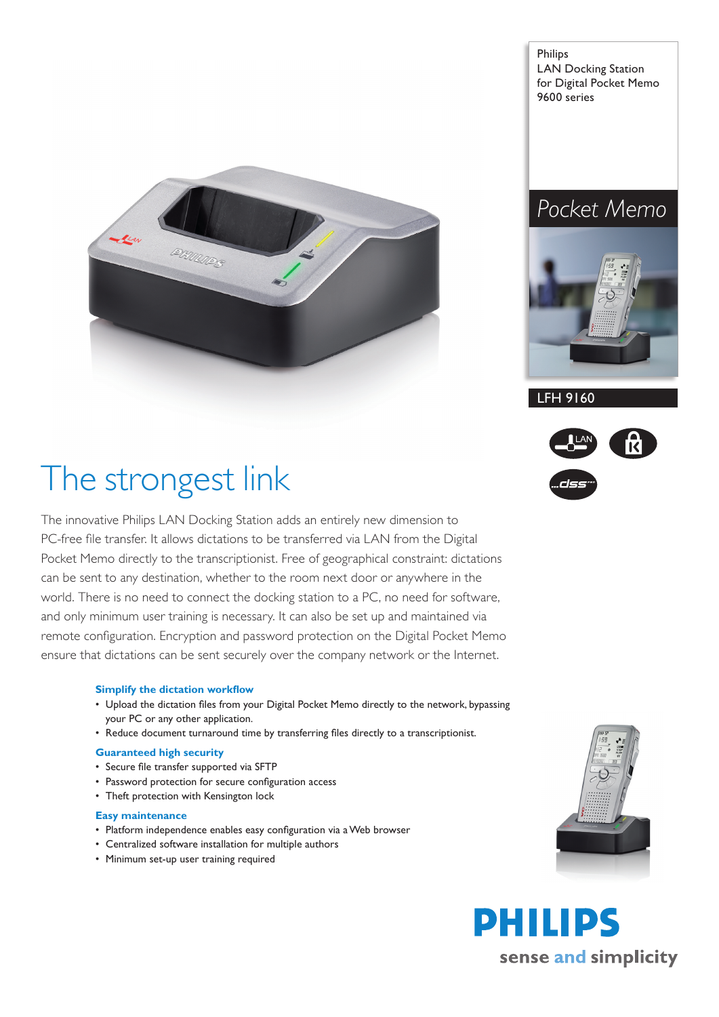

Philips LAN Docking Station for Digital Pocket Memo 9600 series

## *Pocket Memo*



# The strongest link

The innovative Philips LAN Docking Station adds an entirely new dimension to PC-free file transfer. It allows dictations to be transferred via LAN from the Digital Pocket Memo directly to the transcriptionist. Free of geographical constraint: dictations can be sent to any destination, whether to the room next door or anywhere in the world. There is no need to connect the docking station to a PC, no need for software, and only minimum user training is necessary. It can also be set up and maintained via remote configuration. Encryption and password protection on the Digital Pocket Memo ensure that dictations can be sent securely over the company network or the Internet.

#### **Simplify the dictation workflow**

- Upload the dictation files from your Digital Pocket Memo directly to the network, bypassing your PC or any other application.
- Reduce document turnaround time by transferring files directly to a transcriptionist.

#### **Guaranteed high security**

- Secure file transfer supported via SFTP
- Password protection for secure configuration access
- Theft protection with Kensington lock

#### **Easy maintenance**

- Platform independence enables easy configuration via a Web browser
- Centralized software installation for multiple authors •
- Minimum set-up user training required







LFH 9160